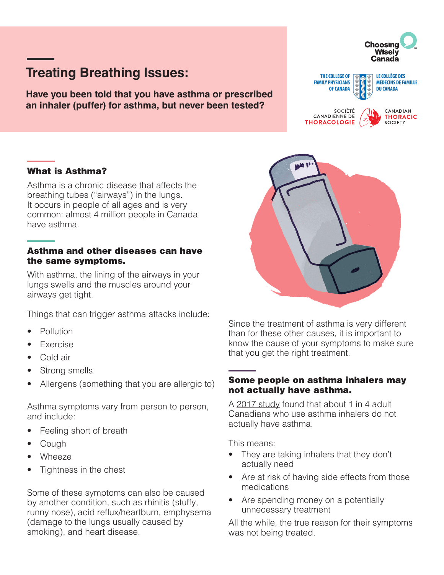# **Treating Breathing Issues:**

**Have you been told that you have asthma or prescribed an inhaler (puffer) for asthma, but never been tested?**

## What is Asthma?

Asthma is a chronic disease that affects the breathing tubes ("airways") in the lungs. It occurs in people of all ages and is very common: almost 4 million people in Canada have asthma.

#### Asthma and other diseases can have the same symptoms.

With asthma, the lining of the airways in your lungs swells and the muscles around your airways get tight.

Things that can trigger asthma attacks include:

- Pollution
- **Fxercise**
- Cold air
- Strong smells
- Allergens (something that you are allergic to)

Asthma symptoms vary from person to person, and include:

- Feeling short of breath
- **Cough**
- Wheeze
- Tightness in the chest

Some of these symptoms can also be caused by another condition, such as rhinitis (stuffy, runny nose), acid reflux/heartburn, emphysema (damage to the lungs usually caused by smoking), and heart disease.



#### Some people on asthma inhalers may not actually have asthma.

A [2017 study](https://jamanetwork.com/journals/jama/fullarticle/2598265) found that about 1 in 4 adult Canadians who use asthma inhalers do not actually have asthma.

This means:

- They are taking inhalers that they don't actually need
- Are at risk of having side effects from those medications
- Are spending money on a potentially unnecessary treatment

All the while, the true reason for their symptoms was not being treated.



**FAMILY PHYSICIANS** 

**CANADIENNE DE** 

**THORACOLOGIE** 

**OF CANADA** 

SOCIÉTÉ



**DU CANADA** 

**MÉDECINS DE FAMILLE** 

CANADIAN

SOCIETY

**THORACIC**